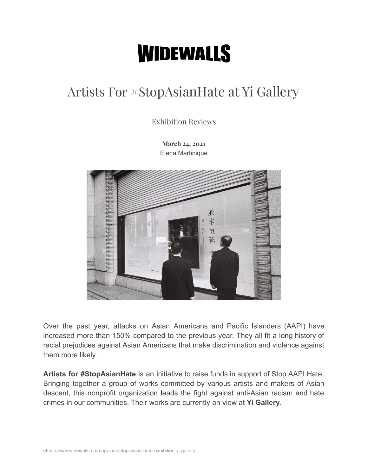## **WIDEWALLS**

## Artists For #StopAsianHate at Yi Gallery

Exhibition Reviews

**March 24, 2021** [Elena Martinique](https://www.widewalls.ch/author/elenamartinique)



Over the past year, attacks on Asian Americans and Pacific Islanders (AAPI) have increased more than 150% compared to the previous year. They all fit a long history of racial prejudices against Asian Americans that make discrimination and violence against them more likely.

**Artists for #StopAsianHate** is an initiative to raise funds in support of Stop AAPI Hate. Bringing together a group of works committed by various artists and makers of Asian descent, this nonprofit organization leads the fight against anti-Asian racism and hate crimes in our communities. Their works are currently on view at **Yi Gallery**.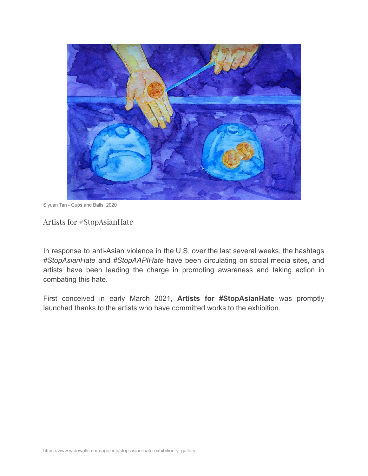

Siyuan Tan - Cups and Balls, 2020

Artists for #StopAsianHate

In response to anti-Asian violence in the U.S. over the last several weeks, the hashtags *#StopAsianHate* and *#StopAAPIHate* have been circulating on social media sites, and artists have been leading the charge in promoting awareness and taking action in combating this hate.

First conceived in early March 2021, **Artists for #StopAsianHate** was promptly launched thanks to the artists who have committed works to the exhibition.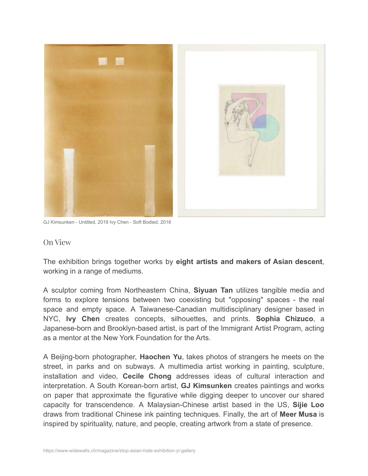

GJ Kimsunken - Untitled, 2019 Ivy Chen - Soft Bodied, 2018

## On View

The exhibition brings together works by **eight artists and makers of Asian descent**, working in a range of mediums.

A sculptor coming from Northeastern China, **Siyuan Tan** utilizes tangible media and forms to explore tensions between two coexisting but "opposing" spaces - the real space and empty space. A Taiwanese-Canadian multidisciplinary designer based in NYC, **Ivy Chen** creates concepts, silhouettes, and prints. **Sophia Chizuco**, a Japanese-born and Brooklyn-based artist, is part of the Immigrant Artist Program, acting as a mentor at the New York Foundation for the Arts.

A Beijing-born photographer, **Haochen Yu**, takes photos of strangers he meets on the street, in parks and on subways. A multimedia artist working in painting, sculpture, installation and video, **Cecile Chong** addresses ideas of cultural interaction and interpretation. A South Korean-born artist, **GJ Kimsunken** creates paintings and works on paper that approximate the figurative while digging deeper to uncover our shared capacity for transcendence. A Malaysian-Chinese artist based in the US, **Sijie Loo** draws from traditional Chinese ink painting techniques. Finally, the art of **Meer Musa** is inspired by spirituality, nature, and people, creating artwork from a state of presence.